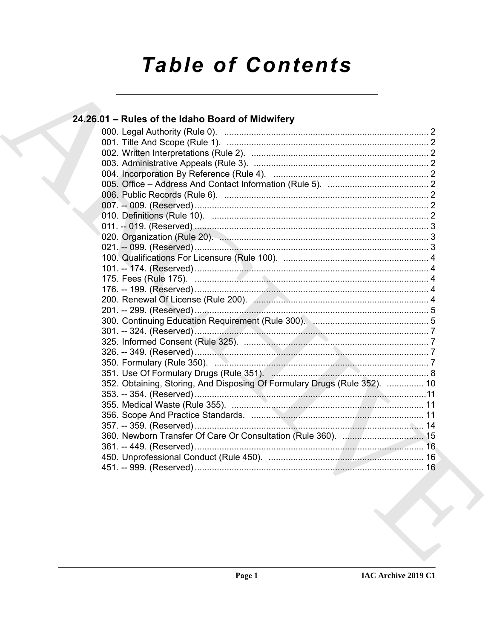# **Table of Contents**

### 24.26.01 - Rules of the Idaho Board of Midwifery 352. Obtaining, Storing, And Disposing Of Formulary Drugs (Rule 352). .............. 10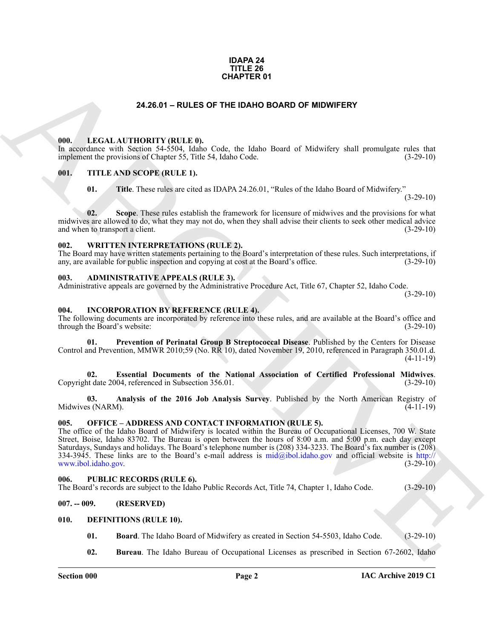#### **IDAPA 24 TITLE 26 CHAPTER 01**

#### **24.26.01 – RULES OF THE IDAHO BOARD OF MIDWIFERY**

#### <span id="page-1-18"></span><span id="page-1-1"></span><span id="page-1-0"></span>**000. LEGAL AUTHORITY (RULE 0).**

In accordance with Section 54-5504, Idaho Code, the Idaho Board of Midwifery shall promulgate rules that implement the provisions of Chapter 55, Title 54, Idaho Code. (3-29-10)

#### <span id="page-1-2"></span>**001. TITLE AND SCOPE (RULE 1).**

<span id="page-1-21"></span>**01. Title**. These rules are cited as IDAPA 24.26.01, "Rules of the Idaho Board of Midwifery."  $(3-29-10)$ 

**02. Scope**. These rules establish the framework for licensure of midwives and the provisions for what midwives are allowed to do, what they may not do, when they shall advise their clients to seek other medical advice and when to transport a client. (3-29-10)

#### <span id="page-1-22"></span><span id="page-1-3"></span>**002. WRITTEN INTERPRETATIONS (RULE 2).**

The Board may have written statements pertaining to the Board's interpretation of these rules. Such interpretations, if any, are available for public inspection and copying at cost at the Board's office. (3-29-10) any, are available for public inspection and copying at cost at the Board's office.

#### <span id="page-1-10"></span><span id="page-1-4"></span>**003. ADMINISTRATIVE APPEALS (RULE 3).**

Administrative appeals are governed by the Administrative Procedure Act, Title 67, Chapter 52, Idaho Code.

 $(3-29-10)$ 

#### <span id="page-1-14"></span><span id="page-1-5"></span>**004. INCORPORATION BY REFERENCE (RULE 4).**

The following documents are incorporated by reference into these rules, and are available at the Board's office and through the Board's website: (3-29-10) (3-29-10)

<span id="page-1-17"></span>**01. Prevention of Perinatal Group B Streptococcal Disease**. Published by the Centers for Disease Control and Prevention, MMWR 2010;59 (No. RR 10), dated November 19, 2010, referenced in Paragraph 350.01.d. (4-11-19)

<span id="page-1-16"></span>**02. Essential Documents of the National Association of Certified Professional Midwives**. Copyright date 2004, referenced in Subsection 356.01. (3-29-10)

<span id="page-1-15"></span>**03. Analysis of the 2016 Job Analysis Survey**. Published by the North American Registry of Midwives (NARM).

#### <span id="page-1-19"></span><span id="page-1-6"></span>**005. OFFICE – ADDRESS AND CONTACT INFORMATION (RULE 5).**

**CHAPT[E](http://www.ibol.idaho.gov)R 01**<br> **CHARCHITED (11) Co**<sub>c</sub> die Raho Book of Midwifter, that promises the first that<br> **CHARCHITED (11)**  $\frac{1}{2}$  **<b>Co**<sub>c</sub> die Raho Book of Midwifter, that promises the first that<br> **CHARCHITED (11) CO**<sub>c</sub> Sep The office of the Idaho Board of Midwifery is located within the Bureau of Occupational Licenses, 700 W. State Street, Boise, Idaho 83702. The Bureau is open between the hours of 8:00 a.m. and 5:00 p.m. each day except Saturdays, Sundays and holidays. The Board's telephone number is (208) 334-3233. The Board's fax number is (208) 334-3945. These links are to the Board's e-mail address is  $mid@ibol.idaho.gov$  and official website is  $http://www.bol.idaho.gov$ .<br>(3-29-10) www.ibol.idaho.gov.

#### <span id="page-1-20"></span><span id="page-1-7"></span>**006. PUBLIC RECORDS (RULE 6).**

The Board's records are subject to the Idaho Public Records Act, Title 74, Chapter 1, Idaho Code. (3-29-10)

<span id="page-1-8"></span>**007. -- 009. (RESERVED)**

<span id="page-1-9"></span>**010. DEFINITIONS (RULE 10).**

- <span id="page-1-12"></span><span id="page-1-11"></span>**01. Board**. The Idaho Board of Midwifery as created in Section 54-5503, Idaho Code. (3-29-10)
- <span id="page-1-13"></span>**02. Bureau**. The Idaho Bureau of Occupational Licenses as prescribed in Section 67-2602, Idaho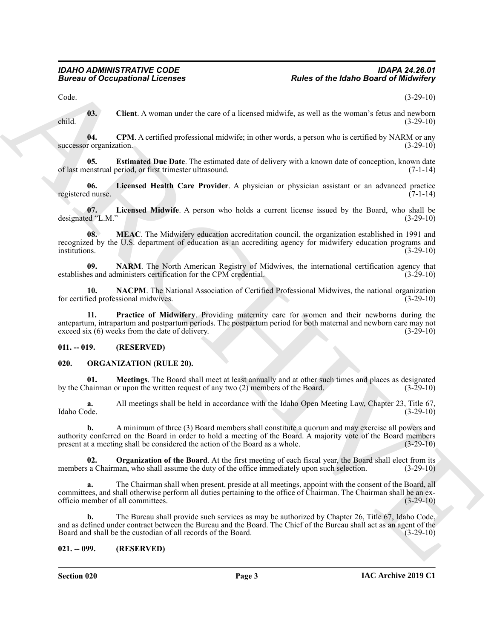<span id="page-2-3"></span>Code. (3-29-10)

**03.** Client. A woman under the care of a licensed midwife, as well as the woman's fetus and newborn (3-29-10) child. (3-29-10)

<span id="page-2-4"></span>**04.** CPM. A certified professional midwife; in other words, a person who is certified by NARM or any r organization. (3-29-10) successor organization.

<span id="page-2-5"></span>**05. Estimated Due Date**. The estimated date of delivery with a known date of conception, known date of last menstrual period, or first trimester ultrasound. (7-1-14)

<span id="page-2-6"></span>**06.** Licensed Health Care Provider. A physician or physician assistant or an advanced practice d nurse. (7-1-14) registered nurse.

<span id="page-2-7"></span>**07.** Licensed Midwife. A person who holds a current license issued by the Board, who shall be ed "L.M." (3-29-10) designated "L.M."

<span id="page-2-8"></span>**08. MEAC**. The Midwifery education accreditation council, the organization established in 1991 and recognized by the U.S. department of education as an accrediting agency for midwifery education programs and institutions. (3-29-10)

<span id="page-2-10"></span>**09. NARM**. The North American Registry of Midwives, the international certification agency that es and administers certification for the CPM credential. (3-29-10) establishes and administers certification for the CPM credential.

<span id="page-2-11"></span><span id="page-2-9"></span>**10. NACPM**. The National Association of Certified Professional Midwives, the national organization indivives. (3-29-10) for certified professional midwives.

**Example 20** Compatibine Theoretics<br>
Cluent A woman sinker the ease of a beamed method, a new of a beamed method is a state of the based of the studies<br>
Cluent A compatibility the easterline professional minimit, in relat **Practice of Midwifery.** Providing maternity care for women and their newborns during the antepartum, intrapartum and postpartum periods. The postpartum period for both maternal and newborn care may not exceed six (6) weeks from the date of delivery. (3-29-10)

#### <span id="page-2-0"></span>**011. -- 019. (RESERVED)**

#### <span id="page-2-12"></span><span id="page-2-1"></span>**020. ORGANIZATION (RULE 20).**

<span id="page-2-13"></span>**01. Meetings**. The Board shall meet at least annually and at other such times and places as designated hairman or upon the written request of any two (2) members of the Board. (3-29-10) by the Chairman or upon the written request of any two  $(2)$  members of the Board.

**a.** All meetings shall be held in accordance with the Idaho Open Meeting Law, Chapter 23, Title 67, Idaho Code. (3-29-10) Idaho Code. (3-29-10)

**b.** A minimum of three (3) Board members shall constitute a quorum and may exercise all powers and authority conferred on the Board in order to hold a meeting of the Board. A majority vote of the Board members present at a meeting shall be considered the action of the Board as a whole.

<span id="page-2-14"></span>**02. Organization of the Board**. At the first meeting of each fiscal year, the Board shall elect from its members a Chairman, who shall assume the duty of the office immediately upon such selection. (3-29-10)

The Chairman shall when present, preside at all meetings, appoint with the consent of the Board, all committees, and shall otherwise perform all duties pertaining to the office of Chairman. The Chairman shall be an exofficio member of all committees. (3-29-10)

**b.** The Bureau shall provide such services as may be authorized by Chapter 26, Title 67, Idaho Code, and as defined under contract between the Bureau and the Board. The Chief of the Bureau shall act as an agent of the Board and shall be the custodian of all records of the Board. (3-29-10) Board and shall be the custodian of all records of the Board.

#### <span id="page-2-2"></span>**021. -- 099. (RESERVED)**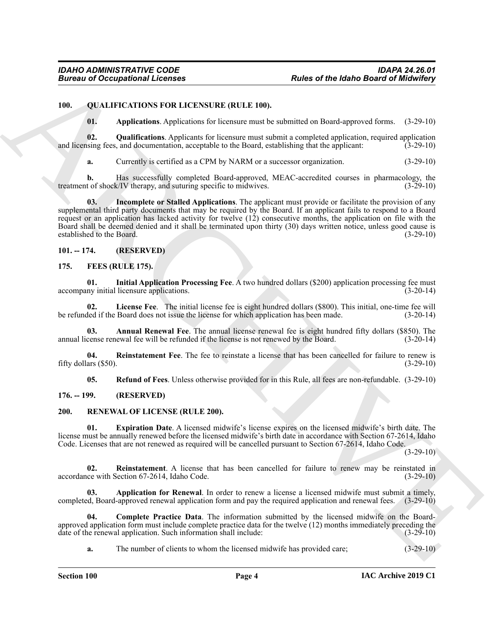#### <span id="page-3-0"></span>**100. QUALIFICATIONS FOR LICENSURE (RULE 100).**

<span id="page-3-14"></span><span id="page-3-12"></span><span id="page-3-11"></span>**01. Applications**. Applications for licensure must be submitted on Board-approved forms. (3-29-10)

**02.** Qualifications. Applicants for licensure must submit a completed application, required application sing fees, and documentation, acceptable to the Board, establishing that the applicant: (3-29-10) and licensing fees, and documentation, acceptable to the Board, establishing that the applicant:

<span id="page-3-13"></span>**a.** Currently is certified as a CPM by NARM or a successor organization.  $(3-29-10)$ 

**b.** Has successfully completed Board-approved, MEAC-accredited courses in pharmacology, the treatment of shock/IV therapy, and suturing specific to midwives.  $(3-29-10)$ 

**Bureau of Occupational Licensis<br>
10.** Outline (The Hallo de Board of Melalunde Results of the Hallo de Board of Melalunde Results of Melalunde Results of the Hallo de Board of Melalunde Results of the Hallo de Samuel Con **Incomplete or Stalled Applications**. The applicant must provide or facilitate the provision of any supplemental third party documents that may be required by the Board. If an applicant fails to respond to a Board request or an application has lacked activity for twelve (12) consecutive months, the application on file with the Board shall be deemed denied and it shall be terminated upon thirty (30) days written notice, unless good cause is established to the Board. (3-29-10)

#### <span id="page-3-5"></span><span id="page-3-1"></span>**101. -- 174. (RESERVED)**

#### <span id="page-3-2"></span>**175. FEES (RULE 175).**

<span id="page-3-7"></span>**01. Initial Application Processing Fee**. A two hundred dollars (\$200) application processing fee must accompany initial licensure applications. (3-20-14)

<span id="page-3-8"></span>**02.** License Fee. The initial license fee is eight hundred dollars (\$800). This initial, one-time fee will led if the Board does not issue the license for which application has been made. (3-20-14) be refunded if the Board does not issue the license for which application has been made.

<span id="page-3-6"></span>**03. Annual Renewal Fee**. The annual license renewal fee is eight hundred fifty dollars (\$850). The cense renewal fee will be refunded if the license is not renewed by the Board. (3-20-14) annual license renewal fee will be refunded if the license is not renewed by the Board.

**04. Reinstatement Fee**. The fee to reinstate a license that has been cancelled for failure to renew is fifty dollars (\$50). (3-29-10)

<span id="page-3-18"></span><span id="page-3-15"></span><span id="page-3-10"></span><span id="page-3-9"></span>**05. Refund of Fees**. Unless otherwise provided for in this Rule, all fees are non-refundable. (3-29-10)

#### <span id="page-3-3"></span>**176. -- 199. (RESERVED)**

#### <span id="page-3-4"></span>**200. RENEWAL OF LICENSE (RULE 200).**

**01. Expiration Date**. A licensed midwife's license expires on the licensed midwife's birth date. The license must be annually renewed before the licensed midwife's birth date in accordance with Section 67-2614, Idaho Code. Licenses that are not renewed as required will be cancelled pursuant to Section 67-2614, Idaho Code.

 $(3-29-10)$ 

<span id="page-3-19"></span>**02. Reinstatement**. A license that has been cancelled for failure to renew may be reinstated in accordance with Section 67-2614, Idaho Code. (3-29-10)

<span id="page-3-16"></span>**03. Application for Renewal**. In order to renew a license a licensed midwife must submit a timely, completed, Board-approved renewal application form and pay the required application and renewal fees. (3-29-10)

**04. Complete Practice Data**. The information submitted by the licensed midwife on the Boardapproved application form must include complete practice data for the twelve (12) months immediately preceding the date of the renewal application. Such information shall include: (3-29-10) date of the renewal application. Such information shall include:

<span id="page-3-17"></span>**a.** The number of clients to whom the licensed midwife has provided care; (3-29-10)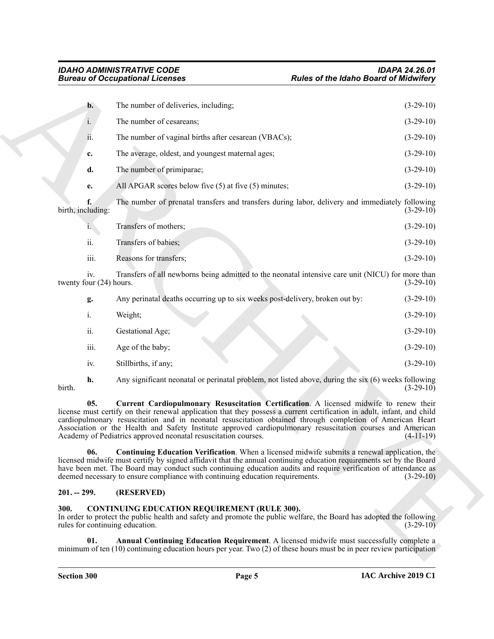|                                         | <b>Bureau of Occupational Licenses</b>                                                                                                                                                                                                                                                                                                                                                                                                                                                                         | <b>Rules of the Idaho Board of Midwifery</b>                                             |
|-----------------------------------------|----------------------------------------------------------------------------------------------------------------------------------------------------------------------------------------------------------------------------------------------------------------------------------------------------------------------------------------------------------------------------------------------------------------------------------------------------------------------------------------------------------------|------------------------------------------------------------------------------------------|
| $\mathbf{b}$ .                          | The number of deliveries, including;                                                                                                                                                                                                                                                                                                                                                                                                                                                                           | $(3-29-10)$                                                                              |
| i.                                      | The number of cesareans;                                                                                                                                                                                                                                                                                                                                                                                                                                                                                       | $(3-29-10)$                                                                              |
| 11.                                     | The number of vaginal births after cesarean (VBACs);                                                                                                                                                                                                                                                                                                                                                                                                                                                           | $(3-29-10)$                                                                              |
| c.                                      | The average, oldest, and youngest maternal ages;                                                                                                                                                                                                                                                                                                                                                                                                                                                               | $(3-29-10)$                                                                              |
| d.                                      | The number of primiparae;                                                                                                                                                                                                                                                                                                                                                                                                                                                                                      | $(3-29-10)$                                                                              |
| e.                                      | All APGAR scores below five (5) at five (5) minutes;                                                                                                                                                                                                                                                                                                                                                                                                                                                           | $(3-29-10)$                                                                              |
| birth, including:                       | The number of prenatal transfers and transfers during labor, delivery and immediately following                                                                                                                                                                                                                                                                                                                                                                                                                | $(3-29-10)$                                                                              |
| $i_{\cdot}$                             | Transfers of mothers;                                                                                                                                                                                                                                                                                                                                                                                                                                                                                          | $(3-29-10)$                                                                              |
| ii.                                     | Transfers of babies;                                                                                                                                                                                                                                                                                                                                                                                                                                                                                           | $(3-29-10)$                                                                              |
| iii.                                    | Reasons for transfers;                                                                                                                                                                                                                                                                                                                                                                                                                                                                                         | $(3-29-10)$                                                                              |
| iv.<br>twenty four (24) hours.          | Transfers of all newborns being admitted to the neonatal intensive care unit (NICU) for more than                                                                                                                                                                                                                                                                                                                                                                                                              | $(3-29-10)$                                                                              |
| g.                                      | Any perinatal deaths occurring up to six weeks post-delivery, broken out by:                                                                                                                                                                                                                                                                                                                                                                                                                                   | $(3-29-10)$                                                                              |
| i.                                      | Weight;                                                                                                                                                                                                                                                                                                                                                                                                                                                                                                        | $(3-29-10)$                                                                              |
| ii.                                     | Gestational Age;                                                                                                                                                                                                                                                                                                                                                                                                                                                                                               | $(3-29-10)$                                                                              |
| iii.                                    | Age of the baby;                                                                                                                                                                                                                                                                                                                                                                                                                                                                                               | $(3-29-10)$                                                                              |
| iv.                                     | Stillbirths, if any;                                                                                                                                                                                                                                                                                                                                                                                                                                                                                           | $(3-29-10)$                                                                              |
| h.<br>birth.                            | Any significant neonatal or perinatal problem, not listed above, during the six (6) weeks following                                                                                                                                                                                                                                                                                                                                                                                                            | $(3-29-10)$                                                                              |
| 05.                                     | Current Cardiopulmonary Resuscitation Certification. A licensed midwife to renew their<br>license must certify on their renewal application that they possess a current certification in adult, infant, and child<br>cardiopulmonary resuscitation and in neonatal resuscitation obtained through completion of American Heart<br>Association or the Health and Safety Institute approved cardiopulmonary resuscitation courses and American<br>Academy of Pediatrics approved neonatal resuscitation courses. | $(4-11-19)$                                                                              |
| 06.                                     | <b>Continuing Education Verification.</b> When a licensed midwife submits a renewal application, the<br>licensed midwife must certify by signed affidavit that the annual continuing education requirements set by the Board<br>have been met. The Board may conduct such continuing education audits and require verification of attendance as<br>deemed necessary to ensure compliance with continuing education requirements.                                                                               | $(3-29-10)$                                                                              |
| $201. - 299.$                           | (RESERVED)                                                                                                                                                                                                                                                                                                                                                                                                                                                                                                     |                                                                                          |
| 300.<br>rules for continuing education. | <b>CONTINUING EDUCATION REQUIREMENT (RULE 300).</b><br>In order to protect the public health and safety and promote the public welfare, the Board has adopted the following                                                                                                                                                                                                                                                                                                                                    | $(3-29-10)$                                                                              |
|                                         |                                                                                                                                                                                                                                                                                                                                                                                                                                                                                                                | Annual Continuing Education Requirement. A licensed midwife must successfully complete a |

#### <span id="page-4-5"></span><span id="page-4-4"></span><span id="page-4-0"></span>**201. -- 299. (RESERVED)**

#### <span id="page-4-3"></span><span id="page-4-2"></span><span id="page-4-1"></span>**300. CONTINUING EDUCATION REQUIREMENT (RULE 300).**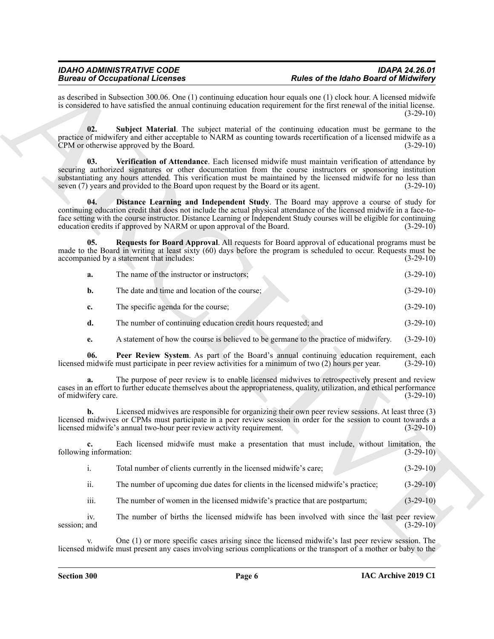as described in Subsection 300.06. One (1) continuing education hour equals one (1) clock hour. A licensed midwife is considered to have satisfied the annual continuing education requirement for the first renewal of the initial license.  $(3-29-10)$ 

<span id="page-5-4"></span><span id="page-5-3"></span>**02. Subject Material**. The subject material of the continuing education must be germane to the practice of midwifery and either acceptable to NARM as counting towards recertification of a licensed midwife as a<br>CPM or otherwise approved by the Board. (3-29-10) CPM or otherwise approved by the Board.

Because of Occupation  $R$  and the same of the same of the labor of the same of the same of the same of the same of the same of the same of the same of the same of the same of the same of the same of the same of the same o **03. Verification of Attendance**. Each licensed midwife must maintain verification of attendance by securing authorized signatures or other documentation from the course instructors or sponsoring institution substantiating any hours attended. This verification must be maintained by the licensed midwife for no less than seven (7) years and provided to the Board upon request by the Board or its agent. (3-29-10)

<span id="page-5-0"></span>**Distance Learning and Independent Study**. The Board may approve a course of study for continuing education credit that does not include the actual physical attendance of the licensed midwife in a face-toface setting with the course instructor. Distance Learning or Independent Study courses will be eligible for continuing education credits if approved by NARM or upon approval of the Board. (3-29-10) education credits if approved by NARM or upon approval of the Board.

**05. Requests for Board Approval**. All requests for Board approval of educational programs must be made to the Board in writing at least sixty (60) days before the program is scheduled to occur. Requests must be accompanied by a statement that includes: (3-29-10) (3-29-10)

<span id="page-5-2"></span>

| $(3-29-10)$<br>The name of the instructor or instructors:<br>а. |
|-----------------------------------------------------------------|
|-----------------------------------------------------------------|

**b.** The date and time and location of the course; (3-29-10)

- **c.** The specific agenda for the course; (3-29-10)
- **d.** The number of continuing education credit hours requested; and (3-29-10)
- <span id="page-5-1"></span>**e.** A statement of how the course is believed to be germane to the practice of midwifery. (3-29-10)

**06. Peer Review System**. As part of the Board's annual continuing education requirement, each licensed midwife must participate in peer review activities for a minimum of two (2) hours per year. (3-29-10)

**a.** The purpose of peer review is to enable licensed midwives to retrospectively present and review cases in an effort to further educate themselves about the appropriateness, quality, utilization, and ethical performance of midwifery care. (3-29-10)

**b.** Licensed midwives are responsible for organizing their own peer review sessions. At least three (3) licensed midwives or CPMs must participate in a peer review session in order for the session to count towards a licensed midwife's annual two-hour peer review activity requirement. (3-29-10)

**c.** Each licensed midwife must make a presentation that must include, without limitation, the following information: (3-29-10) (3-29-10)

i. Total number of clients currently in the licensed midwife's care; (3-29-10)

ii. The number of upcoming due dates for clients in the licensed midwife's practice; (3-29-10)

iii. The number of women in the licensed midwife's practice that are postpartum; (3-29-10)

iv. The number of births the licensed midwife has been involved with since the last peer review session; and  $(3-29-10)$ 

v. One (1) or more specific cases arising since the licensed midwife's last peer review session. The licensed midwife must present any cases involving serious complications or the transport of a mother or baby to the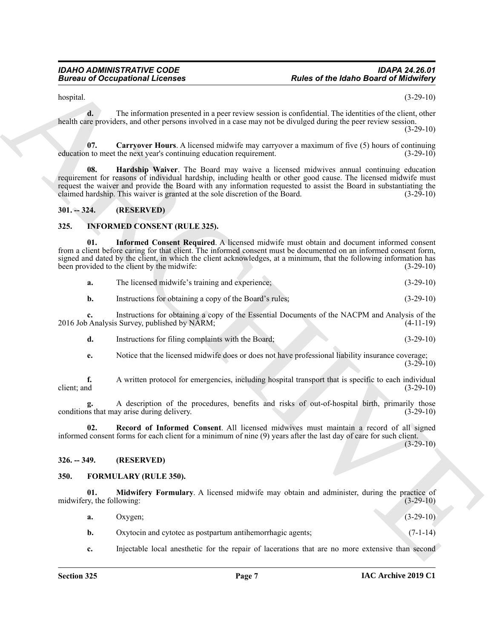$h$ ospital.  $(3-29-10)$ 

**d.** The information presented in a peer review session is confidential. The identities of the client, other health care providers, and other persons involved in a case may not be divulged during the peer review session. (3-29-10)

<span id="page-6-4"></span>**07. Carryover Hours**. A licensed midwife may carryover a maximum of five (5) hours of continuing n to meet the next vear's continuing education requirement. education to meet the next year's continuing education requirement.

<span id="page-6-5"></span>**08. Hardship Waiver**. The Board may waive a licensed midwives annual continuing education requirement for reasons of individual hardship, including health or other good cause. The licensed midwife must request the waiver and provide the Board with any information requested to assist the Board in substantiating the claimed hardship. This waiver is granted at the sole discretion of the Board. (3-29-10) claimed hardship. This waiver is granted at the sole discretion of the Board.

### <span id="page-6-0"></span>**301. -- 324. (RESERVED)**

### <span id="page-6-8"></span><span id="page-6-1"></span>**325. INFORMED CONSENT (RULE 325).**

**Electric of the leadership of the leadership of the set of the leadership of the leadership of the set of the set of the set of the set of the set of the set of the set of the set of the set of the set of the set of the 01. Informed Consent Required**. A licensed midwife must obtain and document informed consent from a client before caring for that client. The informed consent must be documented on an informed consent form, signed and dated by the client, in which the client acknowledges, at a minimum, that the following information has been provided to the client by the midwife: (3-29-10) been provided to the client by the midwife:

<span id="page-6-9"></span>

| a. | The licensed midwife's training and experience: | $(3-29-10)$ |
|----|-------------------------------------------------|-------------|
|----|-------------------------------------------------|-------------|

**b.** Instructions for obtaining a copy of the Board's rules; (3-29-10)

**c.** Instructions for obtaining a copy of the Essential Documents of the NACPM and Analysis of the 2016 Job Analysis Survey, published by NARM; (4-11-19)

**d.** Instructions for filing complaints with the Board; (3-29-10)

**e.** Notice that the licensed midwife does or does not have professional liability insurance coverage;  $(3-29-10)$ 

**f.** A written protocol for emergencies, including hospital transport that is specific to each individual client: and (3-29-10) client; and (3-29-10)

A description of the procedures, benefits and risks of out-of-hospital birth, primarily those ay arise during delivery. (3-29-10) conditions that may arise during delivery.

<span id="page-6-10"></span>**02. Record of Informed Consent**. All licensed midwives must maintain a record of all signed informed consent forms for each client for a minimum of nine (9) years after the last day of care for such client.

(3-29-10)

#### <span id="page-6-2"></span>**326. -- 349. (RESERVED)**

#### <span id="page-6-6"></span><span id="page-6-3"></span>**350. FORMULARY (RULE 350).**

**01. Midwifery Formulary**. A licensed midwife may obtain and administer, during the practice of midwifery, the following: (3-29-10) (3-29-10)

<span id="page-6-7"></span>

| a. | Oxygen;                                                    | $(3-29-10)$ |
|----|------------------------------------------------------------|-------------|
|    | Oxytocin and cytotec as postpartum antihemorrhagic agents; | $(7-1-14)$  |

**c.** Injectable local anesthetic for the repair of lacerations that are no more extensive than second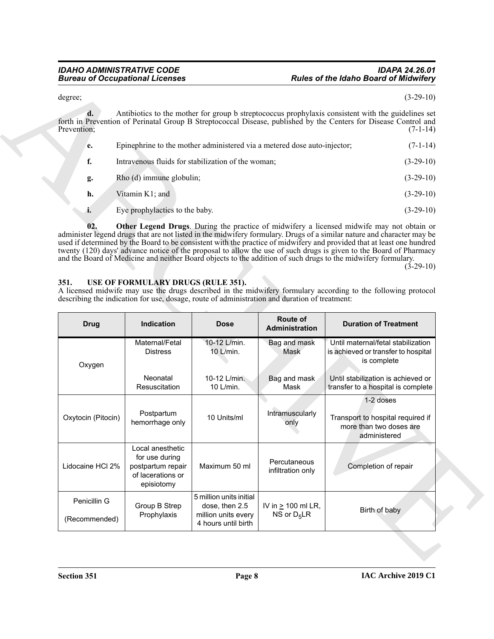#### *IDAHO ADMINISTRATIVE CODE IDAPA 24.26.01* **Rules of the Idaho Board of Midwifery**

| Prevention; | Antibiotics to the mother for group b streptococcus prophylaxis consistent with the guidelines set<br>forth in Prevention of Perinatal Group B Streptococcal Disease, published by the Centers for Disease Control and | $(7-1-14)$  |
|-------------|------------------------------------------------------------------------------------------------------------------------------------------------------------------------------------------------------------------------|-------------|
| e.          | Epinephrine to the mother administered via a metered dose auto-injector;                                                                                                                                               | $(7-1-14)$  |
| f.          | Intravenous fluids for stabilization of the woman;                                                                                                                                                                     | $(3-29-10)$ |
| g.          | Rho (d) immune globulin;                                                                                                                                                                                               | $(3-29-10)$ |
| h.          | Vitamin K1; and                                                                                                                                                                                                        | $(3-29-10)$ |

#### <span id="page-7-2"></span><span id="page-7-1"></span><span id="page-7-0"></span>**351. USE OF FORMULARY DRUGS (RULE 351).**

| degree;                       |                                                                                            |                                                                                               |                                   | $(3-29-10)$                                                                                                                                                                                                                          |  |
|-------------------------------|--------------------------------------------------------------------------------------------|-----------------------------------------------------------------------------------------------|-----------------------------------|--------------------------------------------------------------------------------------------------------------------------------------------------------------------------------------------------------------------------------------|--|
| $\mathbf{d}$ .<br>Prevention; |                                                                                            |                                                                                               |                                   | Antibiotics to the mother for group b streptococcus prophylaxis consistent with the guidelines set<br>forth in Prevention of Perinatal Group B Streptococcal Disease, published by the Centers for Disease Control and<br>$(7-1-14)$ |  |
| e.                            |                                                                                            | Epinephrine to the mother administered via a metered dose auto-injector;                      |                                   | $(7-1-14)$                                                                                                                                                                                                                           |  |
| f.                            |                                                                                            | Intravenous fluids for stabilization of the woman;                                            |                                   | $(3-29-10)$                                                                                                                                                                                                                          |  |
| g.                            | Rho (d) immune globulin;<br>$(3-29-10)$                                                    |                                                                                               |                                   |                                                                                                                                                                                                                                      |  |
| h.                            | Vitamin K1; and                                                                            |                                                                                               |                                   | $(3-29-10)$                                                                                                                                                                                                                          |  |
| i.                            | Eye prophylactics to the baby.                                                             |                                                                                               |                                   | $(3-29-10)$                                                                                                                                                                                                                          |  |
|                               |                                                                                            |                                                                                               |                                   |                                                                                                                                                                                                                                      |  |
|                               | USE OF FORMULARY DRUGS (RULE 351).                                                         | describing the indication for use, dosage, route of administration and duration of treatment: |                                   | A licensed midwife may use the drugs described in the midwifery formulary according to the following protocol                                                                                                                        |  |
| <b>Drug</b>                   | Indication                                                                                 | <b>Dose</b>                                                                                   | Route of<br>Administration        | <b>Duration of Treatment</b>                                                                                                                                                                                                         |  |
| Oxygen                        | Maternal/Fetal<br><b>Distress</b>                                                          | 10-12 L/min.<br>10 L/min.                                                                     | Bag and mask<br>Mask              | Until maternal/fetal stabilization<br>is achieved or transfer to hospital<br>is complete                                                                                                                                             |  |
|                               | Neonatal<br>Resuscitation                                                                  | 10-12 L/min.<br>10 L/min.                                                                     | Bag and mask<br>Mask              | Until stabilization is achieved or<br>transfer to a hospital is complete                                                                                                                                                             |  |
| Oxytocin (Pitocin)            | Postpartum<br>hemorrhage only                                                              | 10 Units/ml                                                                                   | Intramuscularly<br>only           | 1-2 doses<br>Transport to hospital required if<br>more than two doses are<br>administered                                                                                                                                            |  |
| Lidocaine HCI 2%              | Local anesthetic<br>for use during<br>postpartum repair<br>of lacerations or<br>episiotomy | Maximum 50 ml                                                                                 | Percutaneous<br>infiltration only | Completion of repair                                                                                                                                                                                                                 |  |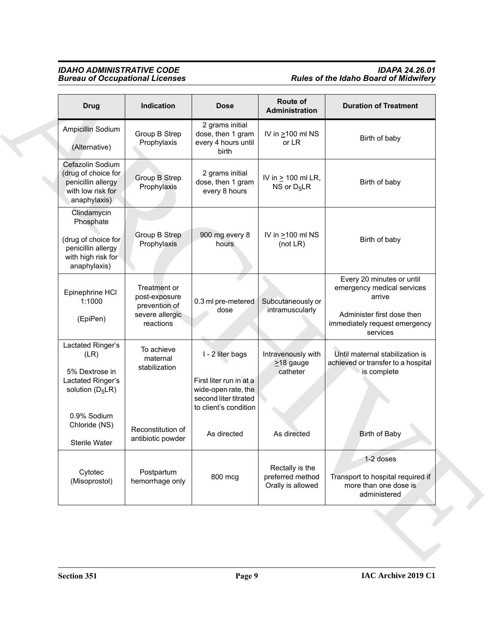### *IDAHO ADMINISTRATIVE CODE IDAPA 24.26.01 Bureau of Occupational Licenses Rules of the Idaho Board of Midwifery*

| <b>Drug</b>                                                                                                            | Indication                                                                     | <b>Dose</b>                                                                                                                         | Route of<br>Administration                                       | <b>Duration of Treatment</b>                                                                                                                 |
|------------------------------------------------------------------------------------------------------------------------|--------------------------------------------------------------------------------|-------------------------------------------------------------------------------------------------------------------------------------|------------------------------------------------------------------|----------------------------------------------------------------------------------------------------------------------------------------------|
| Ampicillin Sodium<br>(Alternative)                                                                                     | Group B Strep<br>Prophylaxis                                                   | 2 grams initial<br>dose, then 1 gram<br>every 4 hours until<br><b>birth</b>                                                         | IV in $\geq$ 100 ml NS<br>or LR                                  | Birth of baby                                                                                                                                |
| Cefazolin Sodium<br>(drug of choice for<br>penicillin allergy<br>with low risk for<br>anaphylaxis)                     | Group B Strep<br>Prophylaxis                                                   | 2 grams initial<br>dose, then 1 gram<br>every 8 hours                                                                               | IV in $\geq$ 100 ml LR,<br>NS or D <sub>5</sub> LR               | Birth of baby                                                                                                                                |
| Clindamycin<br>Phosphate<br>(drug of choice for<br>penicillin allergy<br>with high risk for<br>anaphylaxis)            | Group B Strep<br>Prophylaxis                                                   | 900 mg every 8<br>hours                                                                                                             | IV in $\geq$ 100 ml NS<br>(not $LR$ )                            | Birth of baby                                                                                                                                |
| Epinephrine HCI<br>1:1000<br>(EpiPen)                                                                                  | Treatment or<br>post-exposure<br>prevention of<br>severe allergic<br>reactions | 0.3 ml pre-metered<br>dose                                                                                                          | Subcutaneously or<br>intramuscularly                             | Every 20 minutes or until<br>emergency medical services<br>arrive<br>Administer first dose then<br>immediately request emergency<br>services |
| Lactated Ringer's<br>(LR)<br>5% Dextrose in<br>Lactated Ringer's<br>solution $(D_5LR)$<br>0.9% Sodium<br>Chloride (NS) | To achieve<br>maternal<br>stabilization<br>Reconstitution of                   | I - 2 liter bags<br>First liter run in at a<br>wide-open rate, the<br>second liter titrated<br>to client's condition<br>As directed | Intravenously with<br>$\geq$ 18 gauge<br>catheter<br>As directed | Until maternal stabilization is<br>achieved or transfer to a hospital<br>is complete<br><b>Birth of Baby</b>                                 |
| Sterile Water                                                                                                          | antibiotic powder                                                              |                                                                                                                                     |                                                                  |                                                                                                                                              |
| Cytotec<br>(Misoprostol)                                                                                               | Postpartum<br>hemorrhage only                                                  | 800 mcg                                                                                                                             | Rectally is the<br>preferred method<br>Orally is allowed         | 1-2 doses<br>Transport to hospital required if<br>more than one dose is<br>administered                                                      |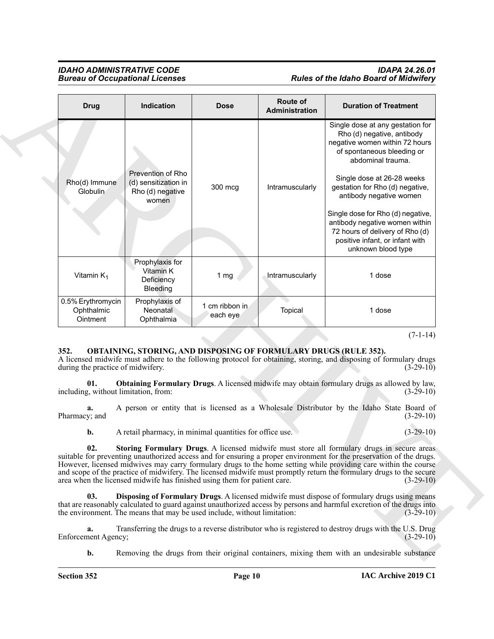#### *IDAHO ADMINISTRATIVE CODE IDAPA 24.26.01* **Rules of the Idaho Board of Midwifery**

|                                                                                                          |                                                                          |                            | Route of        |                                                                                                                                                                                                                                                                                                                                                                                                                                                                             |
|----------------------------------------------------------------------------------------------------------|--------------------------------------------------------------------------|----------------------------|-----------------|-----------------------------------------------------------------------------------------------------------------------------------------------------------------------------------------------------------------------------------------------------------------------------------------------------------------------------------------------------------------------------------------------------------------------------------------------------------------------------|
| <b>Drug</b>                                                                                              | Indication                                                               | <b>Dose</b>                | Administration  | <b>Duration of Treatment</b>                                                                                                                                                                                                                                                                                                                                                                                                                                                |
| Rho(d) Immune<br>Globulin                                                                                | Prevention of Rho<br>(d) sensitization in<br>Rho (d) negative<br>women   | 300 mcg                    | Intramuscularly | Single dose at any gestation for<br>Rho (d) negative, antibody<br>negative women within 72 hours<br>of spontaneous bleeding or<br>abdominal trauma.<br>Single dose at 26-28 weeks<br>gestation for Rho (d) negative,<br>antibody negative women                                                                                                                                                                                                                             |
|                                                                                                          |                                                                          |                            |                 | Single dose for Rho (d) negative,<br>antibody negative women within<br>72 hours of delivery of Rho (d)<br>positive infant, or infant with<br>unknown blood type                                                                                                                                                                                                                                                                                                             |
| Vitamin $K_1$                                                                                            | Prophylaxis for<br>Vitamin K<br>Deficiency<br>Bleeding                   | 1 <sub>mg</sub>            | Intramuscularly | 1 dose                                                                                                                                                                                                                                                                                                                                                                                                                                                                      |
| 0.5% Erythromycin<br>Ophthalmic<br>Ointment                                                              | Prophylaxis of<br>Neonatal<br>Ophthalmia                                 | 1 cm ribbon in<br>each eye | Topical         | 1 dose                                                                                                                                                                                                                                                                                                                                                                                                                                                                      |
|                                                                                                          |                                                                          |                            |                 |                                                                                                                                                                                                                                                                                                                                                                                                                                                                             |
|                                                                                                          | OBTAINING, STORING, AND DISPOSING OF FORMULARY DRUGS (RULE 352).         |                            |                 | $(7-1-14)$                                                                                                                                                                                                                                                                                                                                                                                                                                                                  |
|                                                                                                          |                                                                          |                            |                 | A licensed midwife must adhere to the following protocol for obtaining, storing, and disposing of formulary drugs<br>$(3-29-10)$                                                                                                                                                                                                                                                                                                                                            |
| 01.                                                                                                      |                                                                          |                            |                 | Obtaining Formulary Drugs. A licensed midwife may obtain formulary drugs as allowed by law,<br>$(3-29-10)$                                                                                                                                                                                                                                                                                                                                                                  |
| 352.<br>during the practice of midwifery.<br>including, without limitation, from:<br>a.<br>Pharmacy; and |                                                                          |                            |                 | A person or entity that is licensed as a Wholesale Distributor by the Idaho State Board of<br>$(3-29-10)$                                                                                                                                                                                                                                                                                                                                                                   |
| b.                                                                                                       | A retail pharmacy, in minimal quantities for office use.                 |                            |                 | $(3-29-10)$                                                                                                                                                                                                                                                                                                                                                                                                                                                                 |
| 02.                                                                                                      | area when the licensed midwife has finished using them for patient care. |                            |                 | Storing Formulary Drugs. A licensed midwife must store all formulary drugs in secure areas<br>suitable for preventing unauthorized access and for ensuring a proper environment for the preservation of the drugs.<br>However, licensed midwives may carry formulary drugs to the home setting while providing care within the course<br>and scope of the practice of midwifery. The licensed midwife must promptly return the formulary drugs to the secure<br>$(3-29-10)$ |
| 03.                                                                                                      | the environment. The means that may be used include, without limitation: |                            |                 | Disposing of Formulary Drugs. A licensed midwife must dispose of formulary drugs using means<br>that are reasonably calculated to guard against unauthorized access by persons and harmful excretion of the drugs into<br>$(3-29-10)$                                                                                                                                                                                                                                       |
| a.<br>Enforcement Agency;                                                                                |                                                                          |                            |                 | Transferring the drugs to a reverse distributor who is registered to destroy drugs with the U.S. Drug<br>$(3-29-10)$                                                                                                                                                                                                                                                                                                                                                        |

#### <span id="page-9-4"></span><span id="page-9-3"></span><span id="page-9-2"></span><span id="page-9-1"></span><span id="page-9-0"></span>**352. OBTAINING, STORING, AND DISPOSING OF FORMULARY DRUGS (RULE 352).**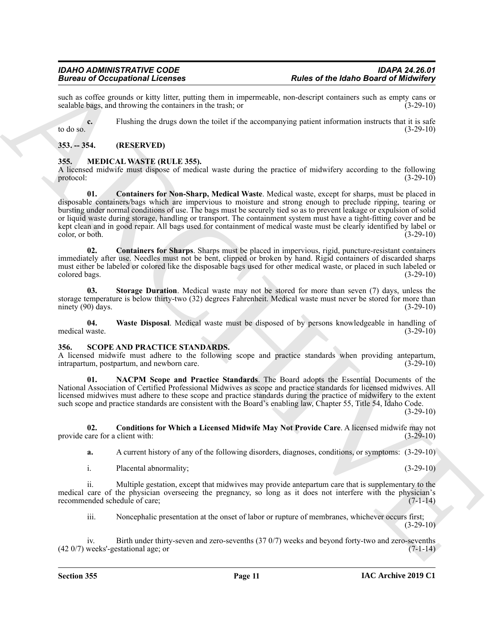such as coffee grounds or kitty litter, putting them in impermeable, non-descript containers such as empty cans or sealable bags, and throwing the containers in the trash: or sealable bags, and throwing the containers in the trash; or

**c.** Flushing the drugs down the toilet if the accompanying patient information instructs that it is safe to do so.  $(3-29-10)$ 

#### <span id="page-10-0"></span>**353. -- 354. (RESERVED)**

#### <span id="page-10-3"></span><span id="page-10-1"></span>**355. MEDICAL WASTE (RULE 355).**

<span id="page-10-4"></span>A licensed midwife must dispose of medical waste during the practice of midwifery according to the following protocol: (3-29-10) protocol:  $(3-29-10)$ 

**Brainers of Cocopyright Licenses**<br> **Brainers of Cocopyright and the function of the system interaction of the system of the brainers of the system of the system of the system of the system of the system of the system of 01. Containers for Non-Sharp, Medical Waste**. Medical waste, except for sharps, must be placed in disposable containers/bags which are impervious to moisture and strong enough to preclude ripping, tearing or bursting under normal conditions of use. The bags must be securely tied so as to prevent leakage or expulsion of solid or liquid waste during storage, handling or transport. The containment system must have a tight-fitting cover and be kept clean and in good repair. All bags used for containment of medical waste must be clearly identified by label or color, or both. (3-29-10)

<span id="page-10-5"></span>**02. Containers for Sharps**. Sharps must be placed in impervious, rigid, puncture-resistant containers immediately after use. Needles must not be bent, clipped or broken by hand. Rigid containers of discarded sharps must either be labeled or colored like the disposable bags used for other medical waste, or placed in such labeled or colored bags. (3-29-10) colored bags.

<span id="page-10-6"></span>**03. Storage Duration**. Medical waste may not be stored for more than seven (7) days, unless the storage temperature is below thirty-two (32) degrees Fahrenheit. Medical waste must never be stored for more than ninety (90) days. (3-29-10)

<span id="page-10-7"></span>**04. Waste Disposal**. Medical waste must be disposed of by persons knowledgeable in handling of medical waste. (3-29-10)

#### <span id="page-10-8"></span><span id="page-10-2"></span>**356. SCOPE AND PRACTICE STANDARDS.**

A licensed midwife must adhere to the following scope and practice standards when providing antepartum, intrapartum, postpartum, and newborn care. (3-29-10)

<span id="page-10-10"></span>**01. NACPM Scope and Practice Standards**. The Board adopts the Essential Documents of the National Association of Certified Professional Midwives as scope and practice standards for licensed midwives. All licensed midwives must adhere to these scope and practice standards during the practice of midwifery to the extent such scope and practice standards are consistent with the Board's enabling law, Chapter 55, Title 54, Idaho Code. (3-29-10)

**02. Conditions for Which a Licensed Midwife May Not Provide Care**. A licensed midwife may not provide care for a client with: (3-29-10)

<span id="page-10-9"></span>**a.** A current history of any of the following disorders, diagnoses, conditions, or symptoms: (3-29-10)

i. Placental abnormality; (3-29-10)

ii. Multiple gestation, except that midwives may provide antepartum care that is supplementary to the medical care of the physician overseeing the pregnancy, so long as it does not interfere with the physician's recommended schedule of care; (7-1-14)

iii. Noncephalic presentation at the onset of labor or rupture of membranes, whichever occurs first; (3-29-10)

iv. Birth under thirty-seven and zero-sevenths (37 0/7) weeks and beyond forty-two and zero-sevenths  $(42\,0/7)$  weeks'-gestational age; or  $(7-1-14)$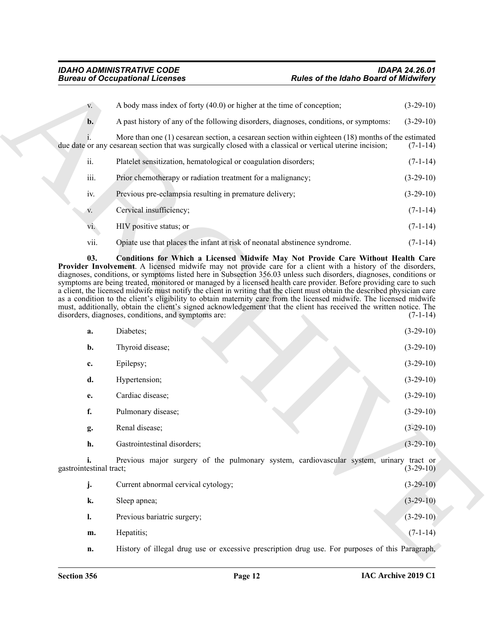<span id="page-11-0"></span>

| $V_{\star}$    | A body mass index of forty (40.0) or higher at the time of conception;                                                                                                                                                | $(3-29-10)$ |
|----------------|-----------------------------------------------------------------------------------------------------------------------------------------------------------------------------------------------------------------------|-------------|
| $\mathbf{b}$ . | A past history of any of the following disorders, diagnoses, conditions, or symptoms:                                                                                                                                 | $(3-29-10)$ |
|                | More than one $(1)$ cesarean section, a cesarean section within eighteen $(18)$ months of the estimated<br>due date or any cesarean section that was surgically closed with a classical or vertical uterine incision; | $(7-1-14)$  |
| ii.            | Platelet sensitization, hematological or coagulation disorders;                                                                                                                                                       | $(7-1-14)$  |
| iii.           | Prior chemotherapy or radiation treatment for a malignancy;                                                                                                                                                           | $(3-29-10)$ |
| iv.            | Previous pre-eclampsia resulting in premature delivery;                                                                                                                                                               | $(3-29-10)$ |
| V.             | Cervical insufficiency;                                                                                                                                                                                               | $(7-1-14)$  |
| vi.            | HIV positive status; or                                                                                                                                                                                               | $(7-1-14)$  |
| vii.           | Opiate use that places the infant at risk of neonatal abstinence syndrome.                                                                                                                                            | $(7-1-14)$  |

|                               | <b>Bureau of Occupational Licenses</b><br><b>Rules of the Idaho Board of Midwifery</b>                                                                                                                                                                                                                                                                                                                                                                                                                                                               |                                                                                                                                                                   |
|-------------------------------|------------------------------------------------------------------------------------------------------------------------------------------------------------------------------------------------------------------------------------------------------------------------------------------------------------------------------------------------------------------------------------------------------------------------------------------------------------------------------------------------------------------------------------------------------|-------------------------------------------------------------------------------------------------------------------------------------------------------------------|
| V.                            | A body mass index of forty (40.0) or higher at the time of conception;                                                                                                                                                                                                                                                                                                                                                                                                                                                                               | $(3-29-10)$                                                                                                                                                       |
| b.                            | A past history of any of the following disorders, diagnoses, conditions, or symptoms:                                                                                                                                                                                                                                                                                                                                                                                                                                                                | $(3-29-10)$                                                                                                                                                       |
|                               | More than one $(1)$ cesarean section, a cesarean section within eighteen $(18)$ months of the estimated<br>due date or any cesarean section that was surgically closed with a classical or vertical uterine incision;                                                                                                                                                                                                                                                                                                                                | $(7-1-14)$                                                                                                                                                        |
| ii.                           | Platelet sensitization, hematological or coagulation disorders;                                                                                                                                                                                                                                                                                                                                                                                                                                                                                      | $(7-1-14)$                                                                                                                                                        |
| iii.                          | Prior chemotherapy or radiation treatment for a malignancy;                                                                                                                                                                                                                                                                                                                                                                                                                                                                                          | $(3-29-10)$                                                                                                                                                       |
| iv.                           | Previous pre-eclampsia resulting in premature delivery;                                                                                                                                                                                                                                                                                                                                                                                                                                                                                              | $(3-29-10)$                                                                                                                                                       |
| V.                            | Cervical insufficiency;                                                                                                                                                                                                                                                                                                                                                                                                                                                                                                                              | $(7-1-14)$                                                                                                                                                        |
| vi.                           | HIV positive status; or                                                                                                                                                                                                                                                                                                                                                                                                                                                                                                                              | $(7-1-14)$                                                                                                                                                        |
| vii.                          | Opiate use that places the infant at risk of neonatal abstinence syndrome.                                                                                                                                                                                                                                                                                                                                                                                                                                                                           | $(7-1-14)$                                                                                                                                                        |
|                               | symptoms are being treated, monitored or managed by a licensed health care provider. Before providing care to such<br>a client, the licensed midwife must notify the client in writing that the client must obtain the described physician care<br>as a condition to the client's eligibility to obtain maternity care from the licensed midwife. The licensed midwife<br>must, additionally, obtain the client's signed acknowledgement that the client has received the written notice. The<br>disorders, diagnoses, conditions, and symptoms are: | $(7-1-14)$                                                                                                                                                        |
|                               |                                                                                                                                                                                                                                                                                                                                                                                                                                                                                                                                                      |                                                                                                                                                                   |
| a.                            | Diabetes;                                                                                                                                                                                                                                                                                                                                                                                                                                                                                                                                            |                                                                                                                                                                   |
| b.                            | Thyroid disease;                                                                                                                                                                                                                                                                                                                                                                                                                                                                                                                                     |                                                                                                                                                                   |
| c.                            | Epilepsy;                                                                                                                                                                                                                                                                                                                                                                                                                                                                                                                                            |                                                                                                                                                                   |
| d.                            | Hypertension;                                                                                                                                                                                                                                                                                                                                                                                                                                                                                                                                        |                                                                                                                                                                   |
| e.                            | Cardiac disease;                                                                                                                                                                                                                                                                                                                                                                                                                                                                                                                                     |                                                                                                                                                                   |
| f.                            | Pulmonary disease;                                                                                                                                                                                                                                                                                                                                                                                                                                                                                                                                   |                                                                                                                                                                   |
| g.                            | Renal disease;                                                                                                                                                                                                                                                                                                                                                                                                                                                                                                                                       |                                                                                                                                                                   |
| h.                            | Gastrointestinal disorders;                                                                                                                                                                                                                                                                                                                                                                                                                                                                                                                          |                                                                                                                                                                   |
| i.<br>gastrointestinal tract; | Previous major surgery of the pulmonary system, cardiovascular system, urinary tract or                                                                                                                                                                                                                                                                                                                                                                                                                                                              |                                                                                                                                                                   |
| j.                            | Current abnormal cervical cytology;                                                                                                                                                                                                                                                                                                                                                                                                                                                                                                                  |                                                                                                                                                                   |
| k.                            | Sleep apnea;                                                                                                                                                                                                                                                                                                                                                                                                                                                                                                                                         | $(3-29-10)$<br>$(3-29-10)$<br>$(3-29-10)$<br>$(3-29-10)$<br>$(3-29-10)$<br>$(3-29-10)$<br>$(3-29-10)$<br>$(3-29-10)$<br>$(3-29-10)$<br>$(3-29-10)$<br>$(3-29-10)$ |
| 1.                            | Previous bariatric surgery;                                                                                                                                                                                                                                                                                                                                                                                                                                                                                                                          | $(3-29-10)$                                                                                                                                                       |
| m.                            | Hepatitis;                                                                                                                                                                                                                                                                                                                                                                                                                                                                                                                                           | $(7-1-14)$                                                                                                                                                        |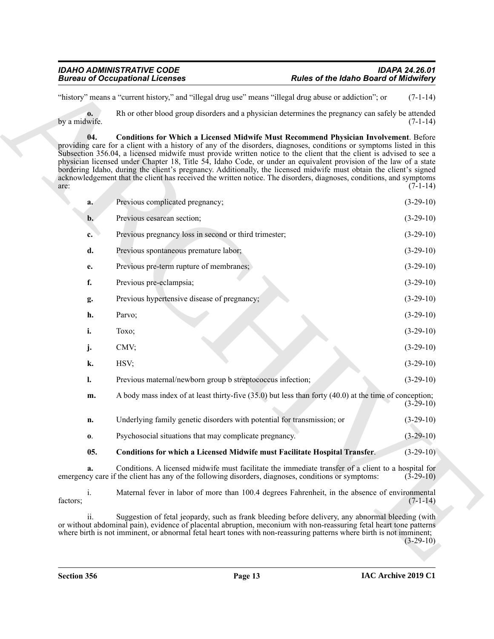<span id="page-12-1"></span><span id="page-12-0"></span>

| "history" means a "current history," and "illegal drug use" means "illegal drug abuse or addiction"; or<br>$\mathbf{0}$<br>by a midwife.<br>04.<br>providing care for a client with a history of any of the disorders, diagnoses, conditions or symptoms listed in this<br>Subsection 356.04, a licensed midwife must provide written notice to the client that the client is advised to see a<br>physician licensed under Chapter 18, Title 54, Idaho Code, or under an equivalent provision of the law of a state<br>bordering Idaho, during the client's pregnancy. Additionally, the licensed midwife must obtain the client's signed<br>acknowledgement that the client has received the written notice. The disorders, diagnoses, conditions, and symptoms<br>are:<br>Previous complicated pregnancy;<br>a.<br>Previous cesarean section;<br>$\mathbf{b}$ .<br>Previous pregnancy loss in second or third trimester;<br>c.<br>d.<br>Previous spontaneous premature labor;<br>Previous pre-term rupture of membranes;<br>e.<br>f.<br>Previous pre-eclampsia;<br>Previous hypertensive disease of pregnancy;<br>g.<br>h.<br>Parvo;<br>i.<br>Toxo;<br>j.<br>CMV;<br>k.<br>HSV;<br>Previous maternal/newborn group b streptococcus infection;<br>1.<br>m.<br>Underlying family genetic disorders with potential for transmission; or<br>n.<br>Psychosocial situations that may complicate pregnancy.<br>0.<br>05.<br>Conditions for which a Licensed Midwife must Facilitate Hospital Transfer.<br>a.<br>emergency care if the client has any of the following disorders, diagnoses, conditions or symptoms:<br>i.<br>factors;<br>ii.<br>or without abdominal pain), evidence of placental abruption, meconium with non-reassuring fetal heart tone patterns<br>where birth is not imminent, or abnormal fetal heart tones with non-reassuring patterns where birth is not imminent; | Rh or other blood group disorders and a physician determines the pregnancy can safely be attended<br><b>Conditions for Which a Licensed Midwife Must Recommend Physician Involvement.</b> Before<br>A body mass index of at least thirty-five (35.0) but less than forty (40.0) at the time of conception;<br>Conditions. A licensed midwife must facilitate the immediate transfer of a client to a hospital for<br>Maternal fever in labor of more than 100.4 degrees Fahrenheit, in the absence of environmental<br>Suggestion of fetal jeopardy, such as frank bleeding before delivery, any abnormal bleeding (with | <b>Bureau of Occupational Licenses</b> | <b>Rules of the Idaho Board of Midwifery</b> |             |
|----------------------------------------------------------------------------------------------------------------------------------------------------------------------------------------------------------------------------------------------------------------------------------------------------------------------------------------------------------------------------------------------------------------------------------------------------------------------------------------------------------------------------------------------------------------------------------------------------------------------------------------------------------------------------------------------------------------------------------------------------------------------------------------------------------------------------------------------------------------------------------------------------------------------------------------------------------------------------------------------------------------------------------------------------------------------------------------------------------------------------------------------------------------------------------------------------------------------------------------------------------------------------------------------------------------------------------------------------------------------------------------------------------------------------------------------------------------------------------------------------------------------------------------------------------------------------------------------------------------------------------------------------------------------------------------------------------------------------------------------------------------------------------------------------------------------------------------------------------------------------------------|--------------------------------------------------------------------------------------------------------------------------------------------------------------------------------------------------------------------------------------------------------------------------------------------------------------------------------------------------------------------------------------------------------------------------------------------------------------------------------------------------------------------------------------------------------------------------------------------------------------------------|----------------------------------------|----------------------------------------------|-------------|
|                                                                                                                                                                                                                                                                                                                                                                                                                                                                                                                                                                                                                                                                                                                                                                                                                                                                                                                                                                                                                                                                                                                                                                                                                                                                                                                                                                                                                                                                                                                                                                                                                                                                                                                                                                                                                                                                                        |                                                                                                                                                                                                                                                                                                                                                                                                                                                                                                                                                                                                                          |                                        |                                              | $(7-1-14)$  |
|                                                                                                                                                                                                                                                                                                                                                                                                                                                                                                                                                                                                                                                                                                                                                                                                                                                                                                                                                                                                                                                                                                                                                                                                                                                                                                                                                                                                                                                                                                                                                                                                                                                                                                                                                                                                                                                                                        |                                                                                                                                                                                                                                                                                                                                                                                                                                                                                                                                                                                                                          |                                        |                                              | $(7-1-14)$  |
|                                                                                                                                                                                                                                                                                                                                                                                                                                                                                                                                                                                                                                                                                                                                                                                                                                                                                                                                                                                                                                                                                                                                                                                                                                                                                                                                                                                                                                                                                                                                                                                                                                                                                                                                                                                                                                                                                        |                                                                                                                                                                                                                                                                                                                                                                                                                                                                                                                                                                                                                          |                                        |                                              | $(7-1-14)$  |
|                                                                                                                                                                                                                                                                                                                                                                                                                                                                                                                                                                                                                                                                                                                                                                                                                                                                                                                                                                                                                                                                                                                                                                                                                                                                                                                                                                                                                                                                                                                                                                                                                                                                                                                                                                                                                                                                                        |                                                                                                                                                                                                                                                                                                                                                                                                                                                                                                                                                                                                                          |                                        |                                              | $(3-29-10)$ |
|                                                                                                                                                                                                                                                                                                                                                                                                                                                                                                                                                                                                                                                                                                                                                                                                                                                                                                                                                                                                                                                                                                                                                                                                                                                                                                                                                                                                                                                                                                                                                                                                                                                                                                                                                                                                                                                                                        |                                                                                                                                                                                                                                                                                                                                                                                                                                                                                                                                                                                                                          |                                        |                                              | $(3-29-10)$ |
|                                                                                                                                                                                                                                                                                                                                                                                                                                                                                                                                                                                                                                                                                                                                                                                                                                                                                                                                                                                                                                                                                                                                                                                                                                                                                                                                                                                                                                                                                                                                                                                                                                                                                                                                                                                                                                                                                        |                                                                                                                                                                                                                                                                                                                                                                                                                                                                                                                                                                                                                          |                                        |                                              | $(3-29-10)$ |
|                                                                                                                                                                                                                                                                                                                                                                                                                                                                                                                                                                                                                                                                                                                                                                                                                                                                                                                                                                                                                                                                                                                                                                                                                                                                                                                                                                                                                                                                                                                                                                                                                                                                                                                                                                                                                                                                                        |                                                                                                                                                                                                                                                                                                                                                                                                                                                                                                                                                                                                                          |                                        |                                              | $(3-29-10)$ |
|                                                                                                                                                                                                                                                                                                                                                                                                                                                                                                                                                                                                                                                                                                                                                                                                                                                                                                                                                                                                                                                                                                                                                                                                                                                                                                                                                                                                                                                                                                                                                                                                                                                                                                                                                                                                                                                                                        |                                                                                                                                                                                                                                                                                                                                                                                                                                                                                                                                                                                                                          |                                        |                                              | $(3-29-10)$ |
|                                                                                                                                                                                                                                                                                                                                                                                                                                                                                                                                                                                                                                                                                                                                                                                                                                                                                                                                                                                                                                                                                                                                                                                                                                                                                                                                                                                                                                                                                                                                                                                                                                                                                                                                                                                                                                                                                        |                                                                                                                                                                                                                                                                                                                                                                                                                                                                                                                                                                                                                          |                                        |                                              | $(3-29-10)$ |
|                                                                                                                                                                                                                                                                                                                                                                                                                                                                                                                                                                                                                                                                                                                                                                                                                                                                                                                                                                                                                                                                                                                                                                                                                                                                                                                                                                                                                                                                                                                                                                                                                                                                                                                                                                                                                                                                                        |                                                                                                                                                                                                                                                                                                                                                                                                                                                                                                                                                                                                                          |                                        |                                              | $(3-29-10)$ |
|                                                                                                                                                                                                                                                                                                                                                                                                                                                                                                                                                                                                                                                                                                                                                                                                                                                                                                                                                                                                                                                                                                                                                                                                                                                                                                                                                                                                                                                                                                                                                                                                                                                                                                                                                                                                                                                                                        |                                                                                                                                                                                                                                                                                                                                                                                                                                                                                                                                                                                                                          |                                        |                                              | $(3-29-10)$ |
|                                                                                                                                                                                                                                                                                                                                                                                                                                                                                                                                                                                                                                                                                                                                                                                                                                                                                                                                                                                                                                                                                                                                                                                                                                                                                                                                                                                                                                                                                                                                                                                                                                                                                                                                                                                                                                                                                        |                                                                                                                                                                                                                                                                                                                                                                                                                                                                                                                                                                                                                          |                                        |                                              | $(3-29-10)$ |
|                                                                                                                                                                                                                                                                                                                                                                                                                                                                                                                                                                                                                                                                                                                                                                                                                                                                                                                                                                                                                                                                                                                                                                                                                                                                                                                                                                                                                                                                                                                                                                                                                                                                                                                                                                                                                                                                                        |                                                                                                                                                                                                                                                                                                                                                                                                                                                                                                                                                                                                                          |                                        |                                              | $(3-29-10)$ |
|                                                                                                                                                                                                                                                                                                                                                                                                                                                                                                                                                                                                                                                                                                                                                                                                                                                                                                                                                                                                                                                                                                                                                                                                                                                                                                                                                                                                                                                                                                                                                                                                                                                                                                                                                                                                                                                                                        |                                                                                                                                                                                                                                                                                                                                                                                                                                                                                                                                                                                                                          |                                        |                                              | $(3-29-10)$ |
|                                                                                                                                                                                                                                                                                                                                                                                                                                                                                                                                                                                                                                                                                                                                                                                                                                                                                                                                                                                                                                                                                                                                                                                                                                                                                                                                                                                                                                                                                                                                                                                                                                                                                                                                                                                                                                                                                        |                                                                                                                                                                                                                                                                                                                                                                                                                                                                                                                                                                                                                          |                                        |                                              | $(3-29-10)$ |
|                                                                                                                                                                                                                                                                                                                                                                                                                                                                                                                                                                                                                                                                                                                                                                                                                                                                                                                                                                                                                                                                                                                                                                                                                                                                                                                                                                                                                                                                                                                                                                                                                                                                                                                                                                                                                                                                                        |                                                                                                                                                                                                                                                                                                                                                                                                                                                                                                                                                                                                                          |                                        |                                              | $(3-29-10)$ |
|                                                                                                                                                                                                                                                                                                                                                                                                                                                                                                                                                                                                                                                                                                                                                                                                                                                                                                                                                                                                                                                                                                                                                                                                                                                                                                                                                                                                                                                                                                                                                                                                                                                                                                                                                                                                                                                                                        |                                                                                                                                                                                                                                                                                                                                                                                                                                                                                                                                                                                                                          |                                        |                                              | $(3-29-10)$ |
|                                                                                                                                                                                                                                                                                                                                                                                                                                                                                                                                                                                                                                                                                                                                                                                                                                                                                                                                                                                                                                                                                                                                                                                                                                                                                                                                                                                                                                                                                                                                                                                                                                                                                                                                                                                                                                                                                        |                                                                                                                                                                                                                                                                                                                                                                                                                                                                                                                                                                                                                          |                                        |                                              | $(3-29-10)$ |
|                                                                                                                                                                                                                                                                                                                                                                                                                                                                                                                                                                                                                                                                                                                                                                                                                                                                                                                                                                                                                                                                                                                                                                                                                                                                                                                                                                                                                                                                                                                                                                                                                                                                                                                                                                                                                                                                                        |                                                                                                                                                                                                                                                                                                                                                                                                                                                                                                                                                                                                                          |                                        |                                              | $(3-29-10)$ |
|                                                                                                                                                                                                                                                                                                                                                                                                                                                                                                                                                                                                                                                                                                                                                                                                                                                                                                                                                                                                                                                                                                                                                                                                                                                                                                                                                                                                                                                                                                                                                                                                                                                                                                                                                                                                                                                                                        |                                                                                                                                                                                                                                                                                                                                                                                                                                                                                                                                                                                                                          |                                        |                                              | $(3-29-10)$ |
|                                                                                                                                                                                                                                                                                                                                                                                                                                                                                                                                                                                                                                                                                                                                                                                                                                                                                                                                                                                                                                                                                                                                                                                                                                                                                                                                                                                                                                                                                                                                                                                                                                                                                                                                                                                                                                                                                        |                                                                                                                                                                                                                                                                                                                                                                                                                                                                                                                                                                                                                          |                                        |                                              | $(7-1-14)$  |
|                                                                                                                                                                                                                                                                                                                                                                                                                                                                                                                                                                                                                                                                                                                                                                                                                                                                                                                                                                                                                                                                                                                                                                                                                                                                                                                                                                                                                                                                                                                                                                                                                                                                                                                                                                                                                                                                                        |                                                                                                                                                                                                                                                                                                                                                                                                                                                                                                                                                                                                                          |                                        |                                              | $(3-29-10)$ |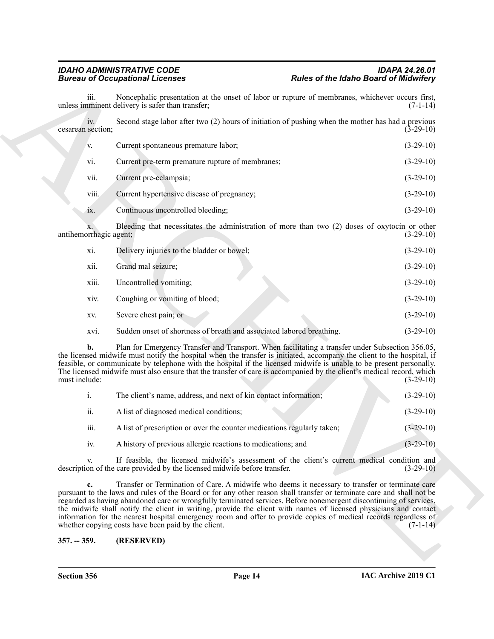|                          | <b>Bureau of Occupational Licenses</b>                                                                                                                                                                                                                                                                                                                                                                                                                                                                                                                                                                                                        | <b>Rules of the Idaho Board of Midwifery</b> |
|--------------------------|-----------------------------------------------------------------------------------------------------------------------------------------------------------------------------------------------------------------------------------------------------------------------------------------------------------------------------------------------------------------------------------------------------------------------------------------------------------------------------------------------------------------------------------------------------------------------------------------------------------------------------------------------|----------------------------------------------|
| iii.                     | Noncephalic presentation at the onset of labor or rupture of membranes, whichever occurs first,<br>unless imminent delivery is safer than transfer;                                                                                                                                                                                                                                                                                                                                                                                                                                                                                           | $(7-1-14)$                                   |
| iv.<br>cesarean section; | Second stage labor after two (2) hours of initiation of pushing when the mother has had a previous                                                                                                                                                                                                                                                                                                                                                                                                                                                                                                                                            | $(3-29-10)$                                  |
| V.                       | Current spontaneous premature labor;                                                                                                                                                                                                                                                                                                                                                                                                                                                                                                                                                                                                          | $(3-29-10)$                                  |
| vi.                      | Current pre-term premature rupture of membranes;                                                                                                                                                                                                                                                                                                                                                                                                                                                                                                                                                                                              | $(3-29-10)$                                  |
| vii.                     | Current pre-eclampsia;                                                                                                                                                                                                                                                                                                                                                                                                                                                                                                                                                                                                                        | $(3-29-10)$                                  |
| viii.                    | Current hypertensive disease of pregnancy;                                                                                                                                                                                                                                                                                                                                                                                                                                                                                                                                                                                                    | $(3-29-10)$                                  |
| 1X.                      | Continuous uncontrolled bleeding;                                                                                                                                                                                                                                                                                                                                                                                                                                                                                                                                                                                                             | $(3-29-10)$                                  |
| antihemorrhagic agent;   | Bleeding that necessitates the administration of more than two (2) doses of oxytocin or other                                                                                                                                                                                                                                                                                                                                                                                                                                                                                                                                                 | $(3-29-10)$                                  |
| xi.                      | Delivery injuries to the bladder or bowel;                                                                                                                                                                                                                                                                                                                                                                                                                                                                                                                                                                                                    | $(3-29-10)$                                  |
| xii.                     | Grand mal seizure;                                                                                                                                                                                                                                                                                                                                                                                                                                                                                                                                                                                                                            | $(3-29-10)$                                  |
| xiii.                    | Uncontrolled vomiting;                                                                                                                                                                                                                                                                                                                                                                                                                                                                                                                                                                                                                        | $(3-29-10)$                                  |
| XIV.                     | Coughing or vomiting of blood;                                                                                                                                                                                                                                                                                                                                                                                                                                                                                                                                                                                                                | $(3-29-10)$                                  |
| XV.                      | Severe chest pain; or                                                                                                                                                                                                                                                                                                                                                                                                                                                                                                                                                                                                                         | $(3-29-10)$                                  |
| XVI.                     | Sudden onset of shortness of breath and associated labored breathing.                                                                                                                                                                                                                                                                                                                                                                                                                                                                                                                                                                         | $(3-29-10)$                                  |
| b.<br>must include:      | Plan for Emergency Transfer and Transport. When facilitating a transfer under Subsection 356.05,<br>the licensed midwife must notify the hospital when the transfer is initiated, accompany the client to the hospital, if<br>feasible, or communicate by telephone with the hospital if the licensed midwife is unable to be present personally.<br>The licensed midwife must also ensure that the transfer of care is accompanied by the client's medical record, which                                                                                                                                                                     | $(3-29-10)$                                  |
| i.                       | The client's name, address, and next of kin contact information;                                                                                                                                                                                                                                                                                                                                                                                                                                                                                                                                                                              | $(3-29-10)$                                  |
| ii.                      | A list of diagnosed medical conditions;                                                                                                                                                                                                                                                                                                                                                                                                                                                                                                                                                                                                       | $(3-29-10)$                                  |
| iii.                     | A list of prescription or over the counter medications regularly taken;                                                                                                                                                                                                                                                                                                                                                                                                                                                                                                                                                                       | $(3-29-10)$                                  |
| iv.                      | A history of previous allergic reactions to medications; and                                                                                                                                                                                                                                                                                                                                                                                                                                                                                                                                                                                  | $(3-29-10)$                                  |
| V.                       | If feasible, the licensed midwife's assessment of the client's current medical condition and<br>description of the care provided by the licensed midwife before transfer.                                                                                                                                                                                                                                                                                                                                                                                                                                                                     | $(3-29-10)$                                  |
| c.                       | Transfer or Termination of Care. A midwife who deems it necessary to transfer or terminate care<br>pursuant to the laws and rules of the Board or for any other reason shall transfer or terminate care and shall not be<br>regarded as having abandoned care or wrongfully terminated services. Before nonemergent discontinuing of services,<br>the midwife shall notify the client in writing, provide the client with names of licensed physicians and contact<br>information for the nearest hospital emergency room and offer to provide copies of medical records regardless of<br>whether copying costs have been paid by the client. | $(7-1-14)$                                   |
|                          |                                                                                                                                                                                                                                                                                                                                                                                                                                                                                                                                                                                                                                               |                                              |

| xi.   | Delivery injuries to the bladder or bowel;                            | $(3-29-10)$ |
|-------|-----------------------------------------------------------------------|-------------|
| xii.  | Grand mal seizure;                                                    | $(3-29-10)$ |
| xiii. | Uncontrolled vomiting;                                                | $(3-29-10)$ |
| xiv.  | Coughing or vomiting of blood;                                        | $(3-29-10)$ |
| XV.   | Severe chest pain; or                                                 | $(3-29-10)$ |
| xvi.  | Sudden onset of shortness of breath and associated labored breathing. | $(3-29-10)$ |

|      | The client's name, address, and next of kin contact information;        | $(3-29-10)$ |
|------|-------------------------------------------------------------------------|-------------|
| ii.  | A list of diagnosed medical conditions;                                 | $(3-29-10)$ |
| iii. | A list of prescription or over the counter medications regularly taken; | $(3-29-10)$ |
| 1V.  | A history of previous allergic reactions to medications; and            | $(3-29-10)$ |

<span id="page-13-0"></span>**Section 356 Page 14**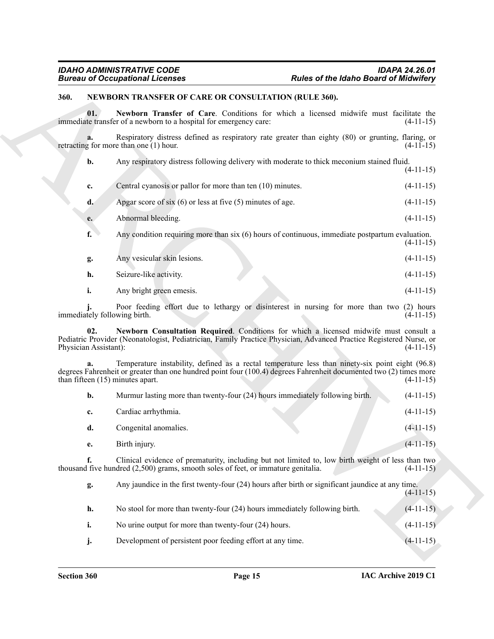#### <span id="page-14-3"></span><span id="page-14-1"></span><span id="page-14-0"></span>**360. NEWBORN TRANSFER OF CARE OR CONSULTATION (RULE 360).**

|                              | <b>Bureau of Occupational Licenses</b>                                                                                                                 | <b>Rules of the Idaho Board of Midwifery</b>                                                        |             |
|------------------------------|--------------------------------------------------------------------------------------------------------------------------------------------------------|-----------------------------------------------------------------------------------------------------|-------------|
| 360.                         | NEWBORN TRANSFER OF CARE OR CONSULTATION (RULE 360).                                                                                                   |                                                                                                     |             |
| 01.                          | immediate transfer of a newborn to a hospital for emergency care:                                                                                      | Newborn Transfer of Care. Conditions for which a licensed midwife must facilitate the               | $(4-11-15)$ |
| a.                           | retracting for more than one (1) hour.                                                                                                                 | Respiratory distress defined as respiratory rate greater than eighty (80) or grunting, flaring, or  | $(4-11-15)$ |
| b.                           |                                                                                                                                                        | Any respiratory distress following delivery with moderate to thick meconium stained fluid.          | $(4-11-15)$ |
| c.                           | Central cyanosis or pallor for more than ten (10) minutes.                                                                                             |                                                                                                     | $(4-11-15)$ |
| d.                           | Apgar score of six $(6)$ or less at five $(5)$ minutes of age.                                                                                         |                                                                                                     | $(4-11-15)$ |
| e.                           | Abnormal bleeding.                                                                                                                                     |                                                                                                     | $(4-11-15)$ |
| f.                           |                                                                                                                                                        | Any condition requiring more than $six(6)$ hours of continuous, immediate postpartum evaluation.    | $(4-11-15)$ |
| g.                           | Any vesicular skin lesions.                                                                                                                            |                                                                                                     | $(4-11-15)$ |
| h.                           | Seizure-like activity.                                                                                                                                 |                                                                                                     | $(4-11-15)$ |
| i.                           | Any bright green emesis.                                                                                                                               |                                                                                                     | $(4-11-15)$ |
|                              | immediately following birth.                                                                                                                           | Poor feeding effort due to lethargy or disinterest in nursing for more than two (2) hours           | $(4-11-15)$ |
| 02.<br>Physician Assistant): | Pediatric Provider (Neonatologist, Pediatrician, Family Practice Physician, Advanced Practice Registered Nurse, or                                     | Newborn Consultation Required. Conditions for which a licensed midwife must consult a               | $(4-11-15)$ |
|                              | degrees Fahrenheit or greater than one hundred point four (100.4) degrees Fahrenheit documented two (2) times more<br>than fifteen (15) minutes apart. | Temperature instability, defined as a rectal temperature less than ninety-six point eight (96.8)    | $(4-11-15)$ |
| b.                           | Murmur lasting more than twenty-four (24) hours immediately following birth.                                                                           |                                                                                                     | $(4-11-15)$ |
| c.                           | Cardiac arrhythmia.                                                                                                                                    |                                                                                                     | $(4-11-15)$ |
| d.                           | Congenital anomalies.                                                                                                                                  |                                                                                                     | $(4-11-15)$ |
| e.                           | Birth injury.                                                                                                                                          |                                                                                                     | $(4-11-15)$ |
| f.                           | thousand five hundred $(2,500)$ grams, smooth soles of feet, or immature genitalia.                                                                    | Clinical evidence of prematurity, including but not limited to, low birth weight of less than two   | $(4-11-15)$ |
| g.                           |                                                                                                                                                        | Any jaundice in the first twenty-four $(24)$ hours after birth or significant jaundice at any time. | $(4-11-15)$ |
| h.                           | No stool for more than twenty-four (24) hours immediately following birth.                                                                             |                                                                                                     | $(4-11-15)$ |
| i.                           | No urine output for more than twenty-four (24) hours.                                                                                                  |                                                                                                     | $(4-11-15)$ |
| j.                           | Development of persistent poor feeding effort at any time.                                                                                             |                                                                                                     | $(4-11-15)$ |

<span id="page-14-2"></span>

| b. | Murmur lasting more than twenty-four (24) hours immediately following birth.                    | $(4-11-15)$ |
|----|-------------------------------------------------------------------------------------------------|-------------|
|    | Cardiac arrhythmia.                                                                             | $(4-11-15)$ |
| d. | Congenital anomalies.                                                                           | $(4-11-15)$ |
| е. | Birth injury.                                                                                   | $(4-11-15)$ |
|    | Clinical evidence of prematurity including but not limited to low birth weight of less than two |             |

| g. | Any jaundice in the first twenty-four (24) hours after birth or significant jaundice at any time. | $(4-11-15)$ |
|----|---------------------------------------------------------------------------------------------------|-------------|
| h. | No stool for more than twenty-four (24) hours immediately following birth.                        | $(4-11-15)$ |
|    | No urine output for more than twenty-four (24) hours.                                             | $(4-11-15)$ |
|    | Development of persistent poor feeding effort at any time.                                        | $(4-11-15)$ |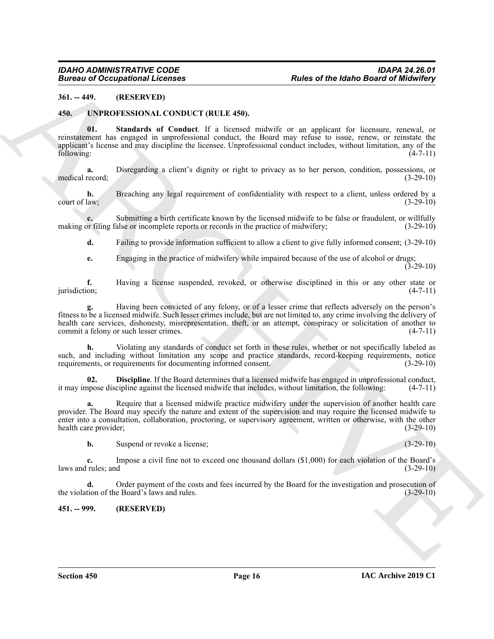#### <span id="page-15-0"></span>**361. -- 449. (RESERVED)**

#### <span id="page-15-5"></span><span id="page-15-3"></span><span id="page-15-1"></span>**450. UNPROFESSIONAL CONDUCT (RULE 450).**

**01. Standards of Conduct**. If a licensed midwife or an applicant for licensure, renewal, or reinstatement has engaged in unprofessional conduct, the Board may refuse to issue, renew, or reinstate the applicant's license and may discipline the licensee. Unprofessional conduct includes, without limitation, any of the following: (4-7-11) following: (4-7-11)

**a.** Disregarding a client's dignity or right to privacy as to her person, condition, possessions, or record;  $(3-29-10)$ medical record;

**b.** Breaching any legal requirement of confidentiality with respect to a client, unless ordered by a court of law;  $(3-29-10)$ 

**c.** Submitting a birth certificate known by the licensed midwife to be false or fraudulent, or willfully by filing false or incomplete reports or records in the practice of midwifery; (3-29-10) making or filing false or incomplete reports or records in the practice of midwifery;

**d.** Failing to provide information sufficient to allow a client to give fully informed consent; (3-29-10)

**e.** Engaging in the practice of midwifery while impaired because of the use of alcohol or drugs;  $(3-29-10)$ 

**f.** Having a license suspended, revoked, or otherwise disciplined in this or any other state or jurisdiction; (4-7-11) jurisdiction; (4-7-11)

**g.** Having been convicted of any felony, or of a lesser crime that reflects adversely on the person's fitness to be a licensed midwife. Such lesser crimes include, but are not limited to, any crime involving the delivery of health care services, dishonesty, misrepresentation, theft, or an attempt, conspiracy or solicitation of another to commit a felony or such lesser crimes. (4-7-11)

**h.** Violating any standards of conduct set forth in these rules, whether or not specifically labeled as such, and including without limitation any scope and practice standards, record-keeping requirements, notice requirements, or requirements for documenting informed consent. (3-29-10) requirements, or requirements for documenting informed consent.

<span id="page-15-4"></span>**02. Discipline**. If the Board determines that a licensed midwife has engaged in unprofessional conduct, nose discipline against the licensed midwife that includes, without limitation, the following: (4-7-11) it may impose discipline against the licensed midwife that includes, without limitation, the following:

Bureau of Occupations I Licenses<br>
SALES and the Idea of the Idea of the Idea of the Idea of the Idea of the Idea of the Idea<br>
SALES and the UNESCONSITY AND CONDUCT CRUT A.50).<br>
SALES ARCHIVE TRISTING IN THE CONDUCT CRUT A **a.** Require that a licensed midwife practice midwifery under the supervision of another health care provider. The Board may specify the nature and extent of the supervision and may require the licensed midwife to enter into a consultation, collaboration, proctoring, or supervisory agreement, written or otherwise, with the other health care provider; (3-29-10)

**b.** Suspend or revoke a license; (3-29-10)

**c.** Impose a civil fine not to exceed one thousand dollars (\$1,000) for each violation of the Board's laws and rules; and (3-29-10)

**d.** Order payment of the costs and fees incurred by the Board for the investigation and prosecution of the Board's laws and rules.  $(3-29-10)$ the violation of the Board's laws and rules.

#### <span id="page-15-2"></span>**451. -- 999. (RESERVED)**